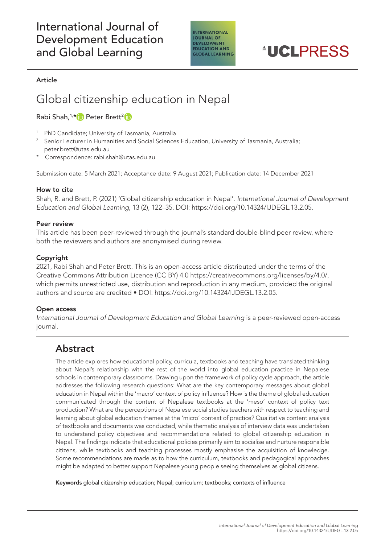# International Journal of Development Education and Global Learning



#### Article

# Global citizenship education in Nepal

### RabiShah,<sup>1,\*</sup> Peter Brett<sup>2</sup>

- <sup>1</sup> PhD Candidate; University of Tasmania, Australia
- 2 Senior Lecturer in Humanities and Social Sciences Education, University of Tasmania, Australia; [peter.brett@utas.edu.au](mailto:peter.brett@utas.edu.au)
- Correspondence: [rabi.shah@utas.edu.au](mailto:rabi.shah@utas.edu.au)

Submission date: 5 March 2021; Acceptance date: 9 August 2021; Publication date: 14 December 2021

#### How to cite

Shah, R. and Brett, P. (2021) 'Global citizenship education in Nepal'. *International Journal of Development Education and Global Learning*, 13 (2), 122–35. DOI: [https://doi.org/10.14324/IJDEGL.13.2.05.](https://doi.org/10.14324/IJDEGL.13.2.05)

#### Peer review

This article has been peer-reviewed through the journal's standard double-blind peer review, where both the reviewers and authors are anonymised during review.

#### Copyright

2021, Rabi Shah and Peter Brett. This is an open-access article distributed under the terms of the Creative Commons Attribution Licence (CC BY) 4.0<https://creativecommons.org/licenses/by/4.0/>, which permits unrestricted use, distribution and reproduction in any medium, provided the original authors and source are credited • DOI: [https://doi.org/10.14324/IJDEGL.13.2.05.](https://doi.org/10.14324/IJDEGL.13.2.05)

#### Open access

*International Journal of Development Education and Global Learning* is a peer-reviewed open-access journal.

### Abstract

The article explores how educational policy, curricula, textbooks and teaching have translated thinking about Nepal's relationship with the rest of the world into global education practice in Nepalese schools in contemporary classrooms. Drawing upon the framework of policy cycle approach, the article addresses the following research questions: What are the key contemporary messages about global education in Nepal within the 'macro' context of policy influence? How is the theme of global education communicated through the content of Nepalese textbooks at the 'meso' context of policy text production? What are the perceptions of Nepalese social studies teachers with respect to teaching and learning about global education themes at the 'micro' context of practice? Qualitative content analysis of textbooks and documents was conducted, while thematic analysis of interview data was undertaken to understand policy objectives and recommendations related to global citizenship education in Nepal. The findings indicate that educational policies primarily aim to socialise and nurture responsible citizens, while textbooks and teaching processes mostly emphasise the acquisition of knowledge. Some recommendations are made as to how the curriculum, textbooks and pedagogical approaches might be adapted to better support Nepalese young people seeing themselves as global citizens.

Keywords global citizenship education; Nepal; curriculum; textbooks; contexts of influence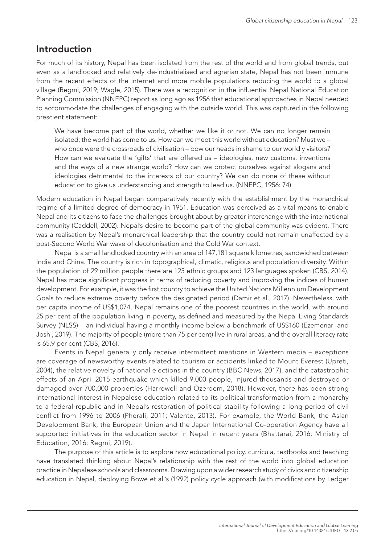# Introduction

For much of its history, Nepal has been isolated from the rest of the world and from global trends, but even as a landlocked and relatively de-industrialised and agrarian state, Nepal has not been immune from the recent effects of the internet and more mobile populations reducing the world to a global village (Regmi, 2019; Wagle, 2015). There was a recognition in the influential Nepal National Education Planning Commission (NNEPC) report as long ago as 1956 that educational approaches in Nepal needed to accommodate the challenges of engaging with the outside world. This was captured in the following prescient statement:

We have become part of the world, whether we like it or not. We can no longer remain isolated; the world has come to us. How can we meet this world without education? Must we – who once were the crossroads of civilisation – bow our heads in shame to our worldly visitors? How can we evaluate the 'gifts' that are offered us – ideologies, new customs, inventions and the ways of a new strange world? How can we protect ourselves against slogans and ideologies detrimental to the interests of our country? We can do none of these without education to give us understanding and strength to lead us. (NNEPC, 1956: 74)

Modern education in Nepal began comparatively recently with the establishment by the monarchical regime of a limited degree of democracy in 1951. Education was perceived as a vital means to enable Nepal and its citizens to face the challenges brought about by greater interchange with the international community (Caddell, 2002). Nepal's desire to become part of the global community was evident. There was a realisation by Nepal's monarchical leadership that the country could not remain unaffected by a post-Second World War wave of decolonisation and the Cold War context.

Nepal is a small landlocked country with an area of 147,181 square kilometres, sandwiched between India and China. The country is rich in topographical, climatic, religious and population diversity. Within the population of 29 million people there are 125 ethnic groups and 123 languages spoken (CBS, 2014). Nepal has made significant progress in terms of reducing poverty and improving the indices of human development. For example, it was the first country to achieve the United Nations Millennium Development Goals to reduce extreme poverty before the designated period (Damir et al., 2017). Nevertheless, with per capita income of US\$1,074, Nepal remains one of the poorest countries in the world, with around 25 per cent of the population living in poverty, as defined and measured by the Nepal Living Standards Survey (NLSS) – an individual having a monthly income below a benchmark of US\$160 (Ezemenari and Joshi, 2019). The majority of people (more than 75 per cent) live in rural areas, and the overall literacy rate is 65.9 per cent (CBS, 2016).

Events in Nepal generally only receive intermittent mentions in Western media – exceptions are coverage of newsworthy events related to tourism or accidents linked to Mount Everest (Upreti, 2004), the relative novelty of national elections in the country (BBC News, 2017), and the catastrophic effects of an April 2015 earthquake which killed 9,000 people, injured thousands and destroyed or damaged over 700,000 properties (Harrowell and Özerdem, 2018). However, there has been strong international interest in Nepalese education related to its political transformation from a monarchy to a federal republic and in Nepal's restoration of political stability following a long period of civil conflict from 1996 to 2006 (Pherali, 2011; Valente, 2013). For example, the World Bank, the Asian Development Bank, the European Union and the Japan International Co-operation Agency have all supported initiatives in the education sector in Nepal in recent years (Bhattarai, 2016; Ministry of Education, 2016; Regmi, 2019).

The purpose of this article is to explore how educational policy, curricula, textbooks and teaching have translated thinking about Nepal's relationship with the rest of the world into global education practice in Nepalese schools and classrooms. Drawing upon a wider research study of civics and citizenship education in Nepal, deploying Bowe et al.'s (1992) policy cycle approach (with modifications by Ledger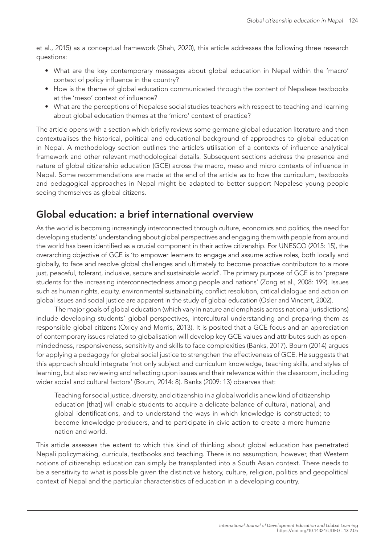et al., 2015) as a conceptual framework (Shah, 2020), this article addresses the following three research questions:

- What are the key contemporary messages about global education in Nepal within the 'macro' context of policy influence in the country?
- How is the theme of global education communicated through the content of Nepalese textbooks at the 'meso' context of influence?
- What are the perceptions of Nepalese social studies teachers with respect to teaching and learning about global education themes at the 'micro' context of practice?

The article opens with a section which briefly reviews some germane global education literature and then contextualises the historical, political and educational background of approaches to global education in Nepal. A methodology section outlines the article's utilisation of a contexts of influence analytical framework and other relevant methodological details. Subsequent sections address the presence and nature of global citizenship education (GCE) across the macro, meso and micro contexts of influence in Nepal. Some recommendations are made at the end of the article as to how the curriculum, textbooks and pedagogical approaches in Nepal might be adapted to better support Nepalese young people seeing themselves as global citizens.

# Global education: a brief international overview

As the world is becoming increasingly interconnected through culture, economics and politics, the need for developing students' understanding about global perspectives and engaging them with people from around the world has been identified as a crucial component in their active citizenship. For UNESCO (2015: 15), the overarching objective of GCE is 'to empower learners to engage and assume active roles, both locally and globally, to face and resolve global challenges and ultimately to become proactive contributors to a more just, peaceful, tolerant, inclusive, secure and sustainable world'. The primary purpose of GCE is to 'prepare students for the increasing interconnectedness among people and nations' (Zong et al., 2008: 199). Issues such as human rights, equity, environmental sustainability, conflict resolution, critical dialogue and action on global issues and social justice are apparent in the study of global education (Osler and Vincent, 2002).

The major goals of global education (which vary in nature and emphasis across national jurisdictions) include developing students' global perspectives, intercultural understanding and preparing them as responsible global citizens (Oxley and Morris, 2013). It is posited that a GCE focus and an appreciation of contemporary issues related to globalisation will develop key GCE values and attributes such as openmindedness, responsiveness, sensitivity and skills to face complexities (Banks, 2017). Bourn (2014) argues for applying a pedagogy for global social justice to strengthen the effectiveness of GCE. He suggests that this approach should integrate 'not only subject and curriculum knowledge, teaching skills, and styles of learning, but also reviewing and reflecting upon issues and their relevance within the classroom, including wider social and cultural factors' (Bourn, 2014: 8). Banks (2009: 13) observes that:

Teaching for social justice, diversity, and citizenship in a global world is a new kind of citizenship education [that] will enable students to acquire a delicate balance of cultural, national, and global identifications, and to understand the ways in which knowledge is constructed; to become knowledge producers, and to participate in civic action to create a more humane nation and world.

This article assesses the extent to which this kind of thinking about global education has penetrated Nepali policymaking, curricula, textbooks and teaching. There is no assumption, however, that Western notions of citizenship education can simply be transplanted into a South Asian context. There needs to be a sensitivity to what is possible given the distinctive history, culture, religion, politics and geopolitical context of Nepal and the particular characteristics of education in a developing country.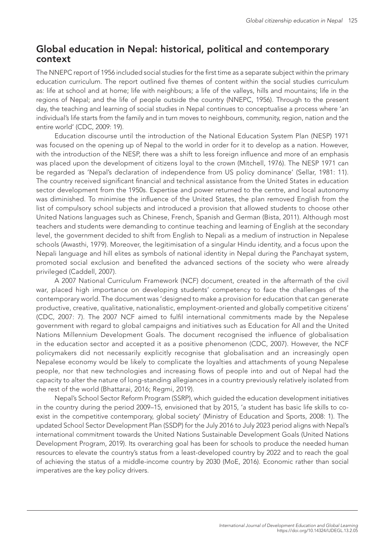### Global education in Nepal: historical, political and contemporary context

The NNEPC report of 1956 included social studies for the first time as a separate subject within the primary education curriculum. The report outlined five themes of content within the social studies curriculum as: life at school and at home; life with neighbours; a life of the valleys, hills and mountains; life in the regions of Nepal; and the life of people outside the country (NNEPC, 1956). Through to the present day, the teaching and learning of social studies in Nepal continues to conceptualise a process where 'an individual's life starts from the family and in turn moves to neighbours, community, region, nation and the entire world' (CDC, 2009: 19).

Education discourse until the introduction of the National Education System Plan (NESP) 1971 was focused on the opening up of Nepal to the world in order for it to develop as a nation. However, with the introduction of the NESP, there was a shift to less foreign influence and more of an emphasis was placed upon the development of citizens loyal to the crown (Mitchell, 1976). The NESP 1971 can be regarded as 'Nepal's declaration of independence from US policy dominance' (Sellar, 1981: 11). The country received significant financial and technical assistance from the United States in education sector development from the 1950s. Expertise and power returned to the centre, and local autonomy was diminished. To minimise the influence of the United States, the plan removed English from the list of compulsory school subjects and introduced a provision that allowed students to choose other United Nations languages such as Chinese, French, Spanish and German (Bista, 2011). Although most teachers and students were demanding to continue teaching and learning of English at the secondary level, the government decided to shift from English to Nepali as a medium of instruction in Nepalese schools (Awasthi, 1979). Moreover, the legitimisation of a singular Hindu identity, and a focus upon the Nepali language and hill elites as symbols of national identity in Nepal during the Panchayat system, promoted social exclusion and benefited the advanced sections of the society who were already privileged (Caddell, 2007).

A 2007 National Curriculum Framework (NCF) document, created in the aftermath of the civil war, placed high importance on developing students' competency to face the challenges of the contemporary world. The document was 'designed to make a provision for education that can generate productive, creative, qualitative, nationalistic, employment-oriented and globally competitive citizens' (CDC, 2007: 7). The 2007 NCF aimed to fulfil international commitments made by the Nepalese government with regard to global campaigns and initiatives such as Education for All and the United Nations Millennium Development Goals. The document recognised the influence of globalisation in the education sector and accepted it as a positive phenomenon (CDC, 2007). However, the NCF policymakers did not necessarily explicitly recognise that globalisation and an increasingly open Nepalese economy would be likely to complicate the loyalties and attachments of young Nepalese people, nor that new technologies and increasing flows of people into and out of Nepal had the capacity to alter the nature of long-standing allegiances in a country previously relatively isolated from the rest of the world (Bhattarai, 2016; Regmi, 2019).

Nepal's School Sector Reform Program (SSRP), which guided the education development initiatives in the country during the period 2009–15, envisioned that by 2015, 'a student has basic life skills to coexist in the competitive contemporary, global society' (Ministry of Education and Sports, 2008: 1). The updated School Sector Development Plan (SSDP) for the July 2016 to July 2023 period aligns with Nepal's international commitment towards the United Nations Sustainable Development Goals (United Nations Development Program, 2019). Its overarching goal has been for schools to produce the needed human resources to elevate the country's status from a least-developed country by 2022 and to reach the goal of achieving the status of a middle-income country by 2030 (MoE, 2016). Economic rather than social imperatives are the key policy drivers.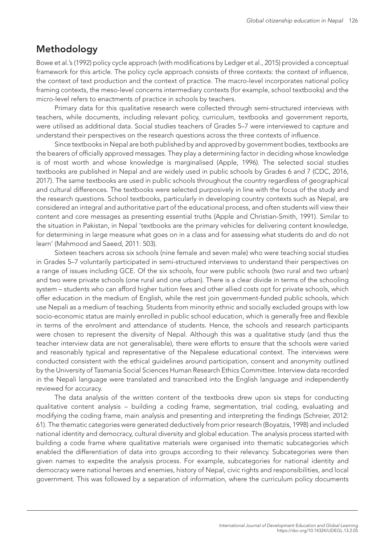## Methodology

Bowe et al.'s (1992) policy cycle approach (with modifications by Ledger et al., 2015) provided a conceptual framework for this article. The policy cycle approach consists of three contexts: the context of influence, the context of text production and the context of practice. The macro-level incorporates national policy framing contexts, the meso-level concerns intermediary contexts (for example, school textbooks) and the micro-level refers to enactments of practice in schools by teachers.

Primary data for this qualitative research were collected through semi-structured interviews with teachers, while documents, including relevant policy, curriculum, textbooks and government reports, were utilised as additional data. Social studies teachers of Grades 5–7 were interviewed to capture and understand their perspectives on the research questions across the three contexts of influence.

Since textbooks in Nepal are both published by and approved by government bodies, textbooks are the bearers of officially approved messages. They play a determining factor in deciding whose knowledge is of most worth and whose knowledge is marginalised (Apple, 1996). The selected social studies textbooks are published in Nepal and are widely used in public schools by Grades 6 and 7 (CDC, 2016, 2017). The same textbooks are used in public schools throughout the country regardless of geographical and cultural differences. The textbooks were selected purposively in line with the focus of the study and the research questions. School textbooks, particularly in developing country contexts such as Nepal, are considered an integral and authoritative part of the educational process, and often students will view their content and core messages as presenting essential truths (Apple and Christian-Smith, 1991). Similar to the situation in Pakistan, in Nepal 'textbooks are the primary vehicles for delivering content knowledge, for determining in large measure what goes on in a class and for assessing what students do and do not learn' (Mahmood and Saeed, 2011: 503).

Sixteen teachers across six schools (nine female and seven male) who were teaching social studies in Grades 5–7 voluntarily participated in semi-structured interviews to understand their perspectives on a range of issues including GCE. Of the six schools, four were public schools (two rural and two urban) and two were private schools (one rural and one urban). There is a clear divide in terms of the schooling system – students who can afford higher tuition fees and other allied costs opt for private schools, which offer education in the medium of English, while the rest join government-funded public schools, which use Nepali as a medium of teaching. Students from minority ethnic and socially excluded groups with low socio-economic status are mainly enrolled in public school education, which is generally free and flexible in terms of the enrolment and attendance of students. Hence, the schools and research participants were chosen to represent the diversity of Nepal. Although this was a qualitative study (and thus the teacher interview data are not generalisable), there were efforts to ensure that the schools were varied and reasonably typical and representative of the Nepalese educational context. The interviews were conducted consistent with the ethical guidelines around participation, consent and anonymity outlined by the University of Tasmania Social Sciences Human Research Ethics Committee. Interview data recorded in the Nepali language were translated and transcribed into the English language and independently reviewed for accuracy.

The data analysis of the written content of the textbooks drew upon six steps for conducting qualitative content analysis – building a coding frame, segmentation, trial coding, evaluating and modifying the coding frame, main analysis and presenting and interpreting the findings (Schreier, 2012: 61). The thematic categories were generated deductively from prior research (Boyatzis, 1998) and included national identity and democracy, cultural diversity and global education. The analysis process started with building a code frame where qualitative materials were organised into thematic subcategories which enabled the differentiation of data into groups according to their relevancy. Subcategories were then given names to expedite the analysis process. For example, subcategories for national identity and democracy were national heroes and enemies, history of Nepal, civic rights and responsibilities, and local government. This was followed by a separation of information, where the curriculum policy documents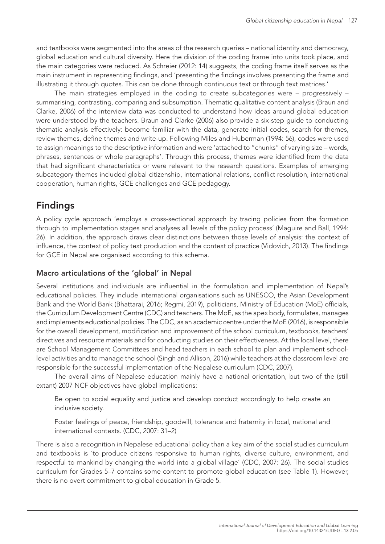and textbooks were segmented into the areas of the research queries – national identity and democracy, global education and cultural diversity. Here the division of the coding frame into units took place, and the main categories were reduced. As Schreier (2012: 14) suggests, the coding frame itself serves as the main instrument in representing findings, and 'presenting the findings involves presenting the frame and illustrating it through quotes. This can be done through continuous text or through text matrices.'

The main strategies employed in the coding to create subcategories were – progressively – summarising, contrasting, comparing and subsumption. Thematic qualitative content analysis (Braun and Clarke, 2006) of the interview data was conducted to understand how ideas around global education were understood by the teachers. Braun and Clarke (2006) also provide a six-step guide to conducting thematic analysis effectively: become familiar with the data, generate initial codes, search for themes, review themes, define themes and write-up. Following Miles and Huberman (1994: 56), codes were used to assign meanings to the descriptive information and were 'attached to "chunks" of varying size – words, phrases, sentences or whole paragraphs'. Through this process, themes were identified from the data that had significant characteristics or were relevant to the research questions. Examples of emerging subcategory themes included global citizenship, international relations, conflict resolution, international cooperation, human rights, GCE challenges and GCE pedagogy.

# Findings

A policy cycle approach 'employs a cross-sectional approach by tracing policies from the formation through to implementation stages and analyses all levels of the policy process' (Maguire and Ball, 1994: 26). In addition, the approach draws clear distinctions between those levels of analysis: the context of influence, the context of policy text production and the context of practice (Vidovich, 2013). The findings for GCE in Nepal are organised according to this schema.

### Macro articulations of the 'global' in Nepal

Several institutions and individuals are influential in the formulation and implementation of Nepal's educational policies. They include international organisations such as UNESCO, the Asian Development Bank and the World Bank (Bhattarai, 2016; Regmi, 2019), politicians, Ministry of Education (MoE) officials, the Curriculum Development Centre (CDC) and teachers. The MoE, as the apex body, formulates, manages and implements educational policies. The CDC, as an academic centre under the MoE (2016), is responsible for the overall development, modification and improvement of the school curriculum, textbooks, teachers' directives and resource materials and for conducting studies on their effectiveness. At the local level, there are School Management Committees and head teachers in each school to plan and implement schoollevel activities and to manage the school (Singh and Allison, 2016) while teachers at the classroom level are responsible for the successful implementation of the Nepalese curriculum (CDC, 2007).

The overall aims of Nepalese education mainly have a national orientation, but two of the (still extant) 2007 NCF objectives have global implications:

Be open to social equality and justice and develop conduct accordingly to help create an inclusive society.

Foster feelings of peace, friendship, goodwill, tolerance and fraternity in local, national and international contexts. (CDC, 2007: 31–2)

There is also a recognition in Nepalese educational policy than a key aim of the social studies curriculum and textbooks is 'to produce citizens responsive to human rights, diverse culture, environment, and respectful to mankind by changing the world into a global village' (CDC, 2007: 26). The social studies curriculum for Grades 5–7 contains some content to promote global education (see Table 1). However, there is no overt commitment to global education in Grade 5.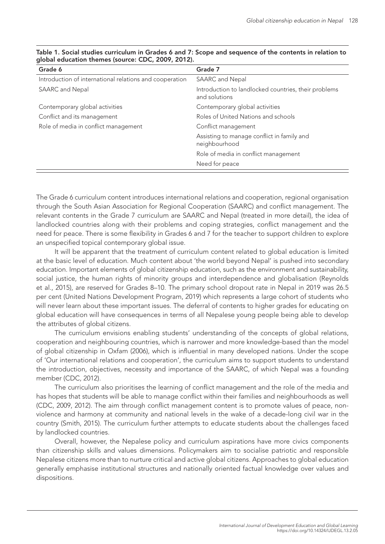| Grade 6                                                 | Grade 7                                                               |
|---------------------------------------------------------|-----------------------------------------------------------------------|
| Introduction of international relations and cooperation | SAARC and Nepal                                                       |
| SAARC and Nepal                                         | Introduction to landlocked countries, their problems<br>and solutions |
| Contemporary global activities                          | Contemporary global activities                                        |
| Conflict and its management                             | Roles of United Nations and schools                                   |
| Role of media in conflict management                    | Conflict management                                                   |
|                                                         | Assisting to manage conflict in family and<br>neighbourhood           |
|                                                         | Role of media in conflict management                                  |
|                                                         | Need for peace                                                        |

| Table 1. Social studies curriculum in Grades 6 and 7: Scope and sequence of the contents in relation to |  |
|---------------------------------------------------------------------------------------------------------|--|
| global education themes (source: CDC, 2009, 2012).                                                      |  |

The Grade 6 curriculum content introduces international relations and cooperation, regional organisation through the South Asian Association for Regional Cooperation (SAARC) and conflict management. The relevant contents in the Grade 7 curriculum are SAARC and Nepal (treated in more detail), the idea of landlocked countries along with their problems and coping strategies, conflict management and the need for peace. There is some flexibility in Grades 6 and 7 for the teacher to support children to explore an unspecified topical contemporary global issue.

It will be apparent that the treatment of curriculum content related to global education is limited at the basic level of education. Much content about 'the world beyond Nepal' is pushed into secondary education. Important elements of global citizenship education, such as the environment and sustainability, social justice, the human rights of minority groups and interdependence and globalisation (Reynolds et al., 2015), are reserved for Grades 8–10. The primary school dropout rate in Nepal in 2019 was 26.5 per cent (United Nations Development Program, 2019) which represents a large cohort of students who will never learn about these important issues. The deferral of contents to higher grades for educating on global education will have consequences in terms of all Nepalese young people being able to develop the attributes of global citizens.

The curriculum envisions enabling students' understanding of the concepts of global relations, cooperation and neighbouring countries, which is narrower and more knowledge-based than the model of global citizenship in Oxfam (2006), which is influential in many developed nations. Under the scope of 'Our international relations and cooperation', the curriculum aims to support students to understand the introduction, objectives, necessity and importance of the SAARC, of which Nepal was a founding member (CDC, 2012).

The curriculum also prioritises the learning of conflict management and the role of the media and has hopes that students will be able to manage conflict within their families and neighbourhoods as well (CDC, 2009, 2012). The aim through conflict management content is to promote values of peace, nonviolence and harmony at community and national levels in the wake of a decade-long civil war in the country (Smith, 2015). The curriculum further attempts to educate students about the challenges faced by landlocked countries.

Overall, however, the Nepalese policy and curriculum aspirations have more civics components than citizenship skills and values dimensions. Policymakers aim to socialise patriotic and responsible Nepalese citizens more than to nurture critical and active global citizens. Approaches to global education generally emphasise institutional structures and nationally oriented factual knowledge over values and dispositions.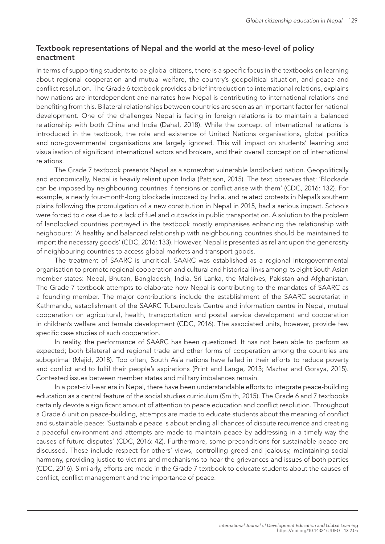### Textbook representations of Nepal and the world at the meso-level of policy enactment

In terms of supporting students to be global citizens, there is a specific focus in the textbooks on learning about regional cooperation and mutual welfare, the country's geopolitical situation, and peace and conflict resolution. The Grade 6 textbook provides a brief introduction to international relations, explains how nations are interdependent and narrates how Nepal is contributing to international relations and benefiting from this. Bilateral relationships between countries are seen as an important factor for national development. One of the challenges Nepal is facing in foreign relations is to maintain a balanced relationship with both China and India (Dahal, 2018). While the concept of international relations is introduced in the textbook, the role and existence of United Nations organisations, global politics and non-governmental organisations are largely ignored. This will impact on students' learning and visualisation of significant international actors and brokers, and their overall conception of international relations.

The Grade 7 textbook presents Nepal as a somewhat vulnerable landlocked nation. Geopolitically and economically, Nepal is heavily reliant upon India (Pattison, 2015). The text observes that: 'Blockade can be imposed by neighbouring countries if tensions or conflict arise with them' (CDC, 2016: 132). For example, a nearly four-month-long blockade imposed by India, and related protests in Nepal's southern plains following the promulgation of a new constitution in Nepal in 2015, had a serious impact. Schools were forced to close due to a lack of fuel and cutbacks in public transportation. A solution to the problem of landlocked countries portrayed in the textbook mostly emphasises enhancing the relationship with neighbours: 'A healthy and balanced relationship with neighbouring countries should be maintained to import the necessary goods' (CDC, 2016: 133). However, Nepal is presented as reliant upon the generosity of neighbouring countries to access global markets and transport goods.

The treatment of SAARC is uncritical. SAARC was established as a regional intergovernmental organisation to promote regional cooperation and cultural and historical links among its eight South Asian member states: Nepal, Bhutan, Bangladesh, India, Sri Lanka, the Maldives, Pakistan and Afghanistan. The Grade 7 textbook attempts to elaborate how Nepal is contributing to the mandates of SAARC as a founding member. The major contributions include the establishment of the SAARC secretariat in Kathmandu, establishment of the SAARC Tuberculosis Centre and information centre in Nepal, mutual cooperation on agricultural, health, transportation and postal service development and cooperation in children's welfare and female development (CDC, 2016). The associated units, however, provide few specific case studies of such cooperation.

In reality, the performance of SAARC has been questioned. It has not been able to perform as expected; both bilateral and regional trade and other forms of cooperation among the countries are suboptimal (Majid, 2018). Too often, South Asia nations have failed in their efforts to reduce poverty and conflict and to fulfil their people's aspirations (Print and Lange, 2013; Mazhar and Goraya, 2015). Contested issues between member states and military imbalances remain.

In a post-civil-war era in Nepal, there have been understandable efforts to integrate peace-building education as a central feature of the social studies curriculum (Smith, 2015). The Grade 6 and 7 textbooks certainly devote a significant amount of attention to peace education and conflict resolution. Throughout a Grade 6 unit on peace-building, attempts are made to educate students about the meaning of conflict and sustainable peace: 'Sustainable peace is about ending all chances of dispute recurrence and creating a peaceful environment and attempts are made to maintain peace by addressing in a timely way the causes of future disputes' (CDC, 2016: 42). Furthermore, some preconditions for sustainable peace are discussed. These include respect for others' views, controlling greed and jealousy, maintaining social harmony, providing justice to victims and mechanisms to hear the grievances and issues of both parties (CDC, 2016). Similarly, efforts are made in the Grade 7 textbook to educate students about the causes of conflict, conflict management and the importance of peace.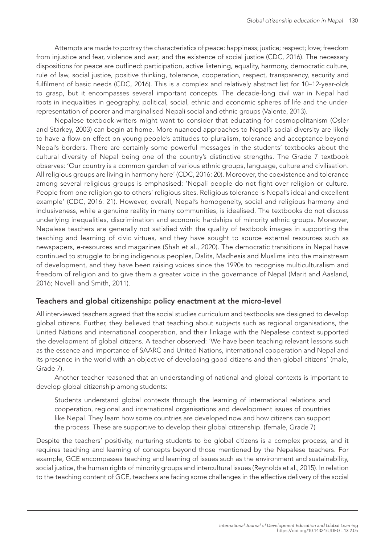Attempts are made to portray the characteristics of peace: happiness; justice; respect; love; freedom from injustice and fear, violence and war; and the existence of social justice (CDC, 2016). The necessary dispositions for peace are outlined: participation, active listening, equality, harmony, democratic culture, rule of law, social justice, positive thinking, tolerance, cooperation, respect, transparency, security and fulfilment of basic needs (CDC, 2016). This is a complex and relatively abstract list for 10–12-year-olds to grasp, but it encompasses several important concepts. The decade-long civil war in Nepal had roots in inequalities in geography, political, social, ethnic and economic spheres of life and the underrepresentation of poorer and marginalised Nepali social and ethnic groups (Valente, 2013).

Nepalese textbook-writers might want to consider that educating for cosmopolitanism (Osler and Starkey, 2003) can begin at home. More nuanced approaches to Nepal's social diversity are likely to have a flow-on effect on young people's attitudes to pluralism, tolerance and acceptance beyond Nepal's borders. There are certainly some powerful messages in the students' textbooks about the cultural diversity of Nepal being one of the country's distinctive strengths. The Grade 7 textbook observes: 'Our country is a common garden of various ethnic groups, language, culture and civilisation. All religious groups are living in harmony here' (CDC, 2016: 20). Moreover, the coexistence and tolerance among several religious groups is emphasised: 'Nepali people do not fight over religion or culture. People from one religion go to others' religious sites. Religious tolerance is Nepal's ideal and excellent example' (CDC, 2016: 21). However, overall, Nepal's homogeneity, social and religious harmony and inclusiveness, while a genuine reality in many communities, is idealised. The textbooks do not discuss underlying inequalities, discrimination and economic hardships of minority ethnic groups. Moreover, Nepalese teachers are generally not satisfied with the quality of textbook images in supporting the teaching and learning of civic virtues, and they have sought to source external resources such as newspapers, e-resources and magazines (Shah et al., 2020). The democratic transitions in Nepal have continued to struggle to bring indigenous peoples, Dalits, Madhesis and Muslims into the mainstream of development, and they have been raising voices since the 1990s to recognise multiculturalism and freedom of religion and to give them a greater voice in the governance of Nepal (Marit and Aasland, 2016; Novelli and Smith, 2011).

#### Teachers and global citizenship: policy enactment at the micro-level

All interviewed teachers agreed that the social studies curriculum and textbooks are designed to develop global citizens. Further, they believed that teaching about subjects such as regional organisations, the United Nations and international cooperation, and their linkage with the Nepalese context supported the development of global citizens. A teacher observed: 'We have been teaching relevant lessons such as the essence and importance of SAARC and United Nations, international cooperation and Nepal and its presence in the world with an objective of developing good citizens and then global citizens' (male, Grade 7).

Another teacher reasoned that an understanding of national and global contexts is important to develop global citizenship among students:

Students understand global contexts through the learning of international relations and cooperation, regional and international organisations and development issues of countries like Nepal. They learn how some countries are developed now and how citizens can support the process. These are supportive to develop their global citizenship. (female, Grade 7)

Despite the teachers' positivity, nurturing students to be global citizens is a complex process, and it requires teaching and learning of concepts beyond those mentioned by the Nepalese teachers. For example, GCE encompasses teaching and learning of issues such as the environment and sustainability, social justice, the human rights of minority groups and intercultural issues (Reynolds et al., 2015). In relation to the teaching content of GCE, teachers are facing some challenges in the effective delivery of the social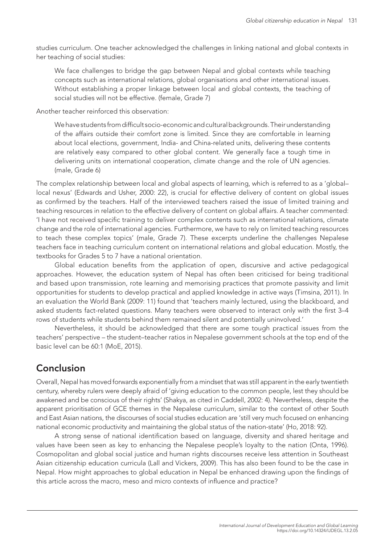studies curriculum. One teacher acknowledged the challenges in linking national and global contexts in her teaching of social studies:

We face challenges to bridge the gap between Nepal and global contexts while teaching concepts such as international relations, global organisations and other international issues. Without establishing a proper linkage between local and global contexts, the teaching of social studies will not be effective. (female, Grade 7)

Another teacher reinforced this observation:

We have students from difficult socio-economic and cultural backgrounds. Their understanding of the affairs outside their comfort zone is limited. Since they are comfortable in learning about local elections, government, India- and China-related units, delivering these contents are relatively easy compared to other global content. We generally face a tough time in delivering units on international cooperation, climate change and the role of UN agencies. (male, Grade 6)

The complex relationship between local and global aspects of learning, which is referred to as a 'global– local nexus' (Edwards and Usher, 2000: 22), is crucial for effective delivery of content on global issues as confirmed by the teachers. Half of the interviewed teachers raised the issue of limited training and teaching resources in relation to the effective delivery of content on global affairs. A teacher commented: 'I have not received specific training to deliver complex contents such as international relations, climate change and the role of international agencies. Furthermore, we have to rely on limited teaching resources to teach these complex topics' (male, Grade 7). These excerpts underline the challenges Nepalese teachers face in teaching curriculum content on international relations and global education. Mostly, the textbooks for Grades 5 to 7 have a national orientation.

Global education benefits from the application of open, discursive and active pedagogical approaches. However, the education system of Nepal has often been criticised for being traditional and based upon transmission, rote learning and memorising practices that promote passivity and limit opportunities for students to develop practical and applied knowledge in active ways (Timsina, 2011). In an evaluation the World Bank (2009: 11) found that 'teachers mainly lectured, using the blackboard, and asked students fact-related questions. Many teachers were observed to interact only with the first 3–4 rows of students while students behind them remained silent and potentially uninvolved.'

Nevertheless, it should be acknowledged that there are some tough practical issues from the teachers' perspective – the student–teacher ratios in Nepalese government schools at the top end of the basic level can be 60:1 (MoE, 2015).

## Conclusion

Overall, Nepal has moved forwards exponentially from a mindset that was still apparent in the early twentieth century, whereby rulers were deeply afraid of 'giving education to the common people, lest they should be awakened and be conscious of their rights' (Shakya, as cited in Caddell, 2002: 4). Nevertheless, despite the apparent prioritisation of GCE themes in the Nepalese curriculum, similar to the context of other South and East Asian nations, the discourses of social studies education are 'still very much focused on enhancing national economic productivity and maintaining the global status of the nation-state' (Ho, 2018: 92).

A strong sense of national identification based on language, diversity and shared heritage and values have been seen as key to enhancing the Nepalese people's loyalty to the nation (Onta, 1996). Cosmopolitan and global social justice and human rights discourses receive less attention in Southeast Asian citizenship education curricula (Lall and Vickers, 2009). This has also been found to be the case in Nepal. How might approaches to global education in Nepal be enhanced drawing upon the findings of this article across the macro, meso and micro contexts of influence and practice?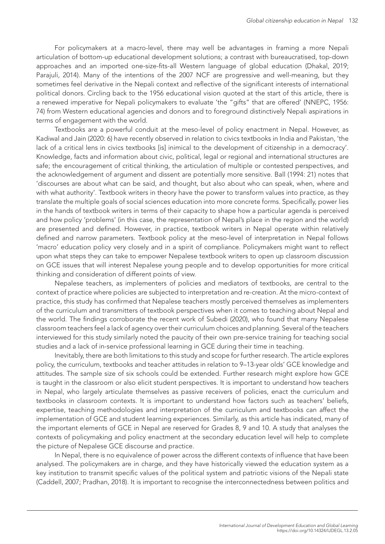For policymakers at a macro-level, there may well be advantages in framing a more Nepali articulation of bottom-up educational development solutions; a contrast with bureaucratised, top-down approaches and an imported one-size-fits-all Western language of global education (Dhakal, 2019; Parajuli, 2014). Many of the intentions of the 2007 NCF are progressive and well-meaning, but they sometimes feel derivative in the Nepali context and reflective of the significant interests of international political donors. Circling back to the 1956 educational vision quoted at the start of this article, there is a renewed imperative for Nepali policymakers to evaluate 'the "gifts" that are offered' (NNEPC, 1956: 74) from Western educational agencies and donors and to foreground distinctively Nepali aspirations in terms of engagement with the world.

Textbooks are a powerful conduit at the meso-level of policy enactment in Nepal. However, as Kadiwal and Jain (2020: 6) have recently observed in relation to civics textbooks in India and Pakistan, 'the lack of a critical lens in civics textbooks [is] inimical to the development of citizenship in a democracy'. Knowledge, facts and information about civic, political, legal or regional and international structures are safe; the encouragement of critical thinking, the articulation of multiple or contested perspectives, and the acknowledgement of argument and dissent are potentially more sensitive. Ball (1994: 21) notes that 'discourses are about what can be said, and thought, but also about who can speak, when, where and with what authority'. Textbook writers in theory have the power to transform values into practice, as they translate the multiple goals of social sciences education into more concrete forms. Specifically, power lies in the hands of textbook writers in terms of their capacity to shape how a particular agenda is perceived and how policy 'problems' (in this case, the representation of Nepal's place in the region and the world) are presented and defined. However, in practice, textbook writers in Nepal operate within relatively defined and narrow parameters. Textbook policy at the meso-level of interpretation in Nepal follows 'macro' education policy very closely and in a spirit of compliance. Policymakers might want to reflect upon what steps they can take to empower Nepalese textbook writers to open up classroom discussion on GCE issues that will interest Nepalese young people and to develop opportunities for more critical thinking and consideration of different points of view.

Nepalese teachers, as implementers of policies and mediators of textbooks, are central to the context of practice where policies are subjected to interpretation and re-creation. At the micro-context of practice, this study has confirmed that Nepalese teachers mostly perceived themselves as implementers of the curriculum and transmitters of textbook perspectives when it comes to teaching about Nepal and the world. The findings corroborate the recent work of Subedi (2020), who found that many Nepalese classroom teachers feel a lack of agency over their curriculum choices and planning. Several of the teachers interviewed for this study similarly noted the paucity of their own pre-service training for teaching social studies and a lack of in-service professional learning in GCE during their time in teaching.

Inevitably, there are both limitations to this study and scope for further research. The article explores policy, the curriculum, textbooks and teacher attitudes in relation to 9–13-year olds' GCE knowledge and attitudes. The sample size of six schools could be extended. Further research might explore how GCE is taught in the classroom or also elicit student perspectives. It is important to understand how teachers in Nepal, who largely articulate themselves as passive receivers of policies, enact the curriculum and textbooks in classroom contexts. It is important to understand how factors such as teachers' beliefs, expertise, teaching methodologies and interpretation of the curriculum and textbooks can affect the implementation of GCE and student learning experiences. Similarly, as this article has indicated, many of the important elements of GCE in Nepal are reserved for Grades 8, 9 and 10. A study that analyses the contexts of policymaking and policy enactment at the secondary education level will help to complete the picture of Nepalese GCE discourse and practice.

In Nepal, there is no equivalence of power across the different contexts of influence that have been analysed. The policymakers are in charge, and they have historically viewed the education system as a key institution to transmit specific values of the political system and patriotic visions of the Nepali state (Caddell, 2007; Pradhan, 2018). It is important to recognise the interconnectedness between politics and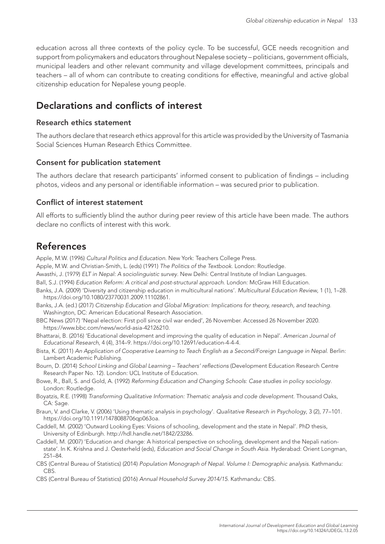education across all three contexts of the policy cycle. To be successful, GCE needs recognition and support from policymakers and educators throughout Nepalese society – politicians, government officials, municipal leaders and other relevant community and village development committees, principals and teachers – all of whom can contribute to creating conditions for effective, meaningful and active global citizenship education for Nepalese young people.

# Declarations and conflicts of interest

#### Research ethics statement

The authors declare that research ethics approval for this article was provided by the University of Tasmania Social Sciences Human Research Ethics Committee.

#### Consent for publication statement

The authors declare that research participants' informed consent to publication of findings – including photos, videos and any personal or identifiable information – was secured prior to publication.

#### Conflict of interest statement

All efforts to sufficiently blind the author during peer review of this article have been made. The authors declare no conflicts of interest with this work.

## References

Apple, M.W. (1996) *Cultural Politics and Education*. New York: Teachers College Press.

- Apple, M.W. and Christian-Smith, L. (eds) (1991) *The Politics of the Textbook*. London: Routledge.
- Awasthi, J. (1979) *ELT in Nepal: A sociolinguistic survey*. New Delhi: Central Institute of Indian Languages.
- Ball, S.J. (1994) *Education Reform: A critical and post-structural approach*. London: McGraw Hill Education.
- Banks, J.A. (2009) 'Diversity and citizenship education in multicultural nations'. *Multicultural Education Review*, 1 (1), 1–28. <https://doi.org/10.1080/23770031.2009.11102861>.
- Banks, J.A. (ed.) (2017) *Citizenship Education and Global Migration: Implications for theory, research, and teaching*. Washington, DC: American Educational Research Association.
- BBC News (2017) 'Nepal election: First poll since civil war ended', 26 November. Accessed 26 November 2020. <https://www.bbc.com/news/world-asia-42126210>.
- Bhattarai, B. (2016) 'Educational development and improving the quality of education in Nepal'. *American Journal of Educational Research*, 4 (4), 314–9. [https://doi.org/10.12691/education-4-4-4.](https://doi.org/10.12691/education-4-4-4)
- Bista, K. (2011) *An Application of Cooperative Learning to Teach English as a Second/Foreign Language in Nepal*. Berlin: Lambert Academic Publishing.
- Bourn, D. (2014) *School Linking and Global Learning Teachers' reflections* (Development Education Research Centre Research Paper No. 12). London: UCL Institute of Education.
- Bowe, R., Ball, S. and Gold, A. (1992) *Reforming Education and Changing Schools*: *Case studies in policy sociology*. London: Routledge.
- Boyatzis, R.E. (1998) *Transforming Qualitative Information: Thematic analysis and code development.* Thousand Oaks, CA: Sage.
- Braun, V. and Clarke, V. (2006) 'Using thematic analysis in psychology'. *Qualitative Research in Psychology*, 3 (2), 77–101. [https://doi.org/10.1191/1478088706qp063oa.](https://doi.org/10.1191/1478088706qp063oa)
- Caddell, M. (2002) 'Outward Looking Eyes: Visions of schooling, development and the state in Nepal'. PhD thesis, University of Edinburgh.<http://hdl.handle.net/1842/23286>.
- Caddell, M. (2007) 'Education and change: A historical perspective on schooling, development and the Nepali nationstate'. In K. Krishna and J. Oesterheld (eds), *Education and Social Change in South Asia*. Hyderabad: Orient Longman, 251–84.
- CBS (Central Bureau of Statistics) (2014) *Population Monograph of Nepal. Volume I: Demographic analysis*. Kathmandu: CBS.
- CBS (Central Bureau of Statistics) (2016) *Annual Household Survey 2014/15*. Kathmandu: CBS.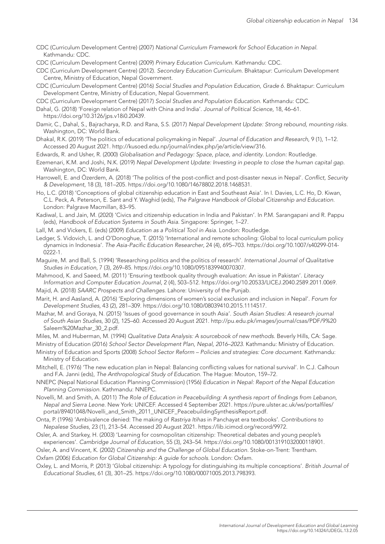- CDC (Curriculum Development Centre) (2007) *National Curriculum Framework for School Education in Nepal*. Kathmandu: CDC.
- CDC (Curriculum Development Centre) (2009) *Primary Education Curriculum*. Kathmandu: CDC.
- CDC (Curriculum Development Centre) (2012). *Secondary Education Curriculum*. Bhaktapur: Curriculum Development Centre, Ministry of Education, Nepal Government.
- CDC (Curriculum Development Centre) (2016) *Social Studies and Population Education, Grade 6.* Bhaktapur: Curriculum Development Centre, Ministry of Education, Nepal Government.
- CDC (Curriculum Development Centre) (2017) *Social Studies and Population Education*. Kathmandu: CDC.
- Dahal, G. (2018) 'Foreign relation of Nepal with China and India'. *Journal of Political Science*, 18, 46–61. [https://doi.org/10.3126/jps.v18i0.20439.](https://doi.org/10.3126/jps.v18i0.20439)
- Damir, C., Dahal, S., Bajracharya, R.D. and Rana, S.S. (2017) *Nepal Development Update: Strong rebound, mounting risks.* Washington, DC: World Bank.
- Dhakal, R.K. (2019) 'The politics of educational policymaking in Nepal'. *Journal of Education and Research*, 9 (1), 1–12. Accessed 20 August 2021. [http://kusoed.edu.np/journal/index.php/je/article/view/316.](http://kusoed.edu.np/journal/index.php/je/article/view/316)
- Edwards, R. and Usher, R. (2000) *Globalisation and Pedagogy: Space, place, and identity*. London: Routledge.
- Ezemenari, K.M. and Joshi, N.K. (2019) *Nepal Development Update: Investing in people to close the human capital gap.* Washington, DC: World Bank.
- Harrowell, E. and Özerdem, A. (2018) 'The politics of the post-conflict and post-disaster nexus in Nepal'. *Conflict, Security & Development*, 18 (3), 181–205.<https://doi.org/10.1080/14678802.2018.1468531>.
- Ho, L.C. (2018) 'Conceptions of global citizenship education in East and Southeast Asia'. In I. Davies, L.C. Ho, D. Kiwan, C.L. Peck, A. Peterson, E. Sant and Y. Waghid (eds), *The Palgrave Handbook of Global Citizenship and Education*. London: Palgrave Macmillan, 83–95.
- Kadiwal, L. and Jain, M. (2020) 'Civics and citizenship education in India and Pakistan'. In P.M. Sarangapani and R. Pappu (eds), *Handbook of Education Systems in South Asia*. Singapore: Springer, 1–27.
- Lall, M. and Vickers, E. (eds) (2009) *Education as a Political Tool in Asia.* London: Routledge.
- Ledger, S. Vidovich, L. and O'Donoghue, T. (2015) 'International and remote schooling: Global to local curriculum policy dynamics in Indonesia'. *The Asia-Pacific Education Researcher*, 24 (4), 695–703. [https://doi.org/10.1007/s40299-014-](https://doi.org/10.1007/s40299-014-0222-1) [0222-1.](https://doi.org/10.1007/s40299-014-0222-1)
- Maguire, M. and Ball, S. (1994) 'Researching politics and the politics of research'. *International Journal of Qualitative Studies in Education*, 7 (3), 269–85. [https://doi.org/10.1080/0951839940070307.](https://doi.org/10.1080/0951839940070307)
- Mahmood, K. and Saeed, M. (2011) 'Ensuring textbook quality through evaluation: An issue in Pakistan'. *Literacy Information and Computer Education Journal*, 2 (4), 503–512. [https://doi.org/10.20533/LICEJ.2040.2589.2011.0069.](https://doi.org/10.20533/LICEJ.2040.2589.2011.0069)
- Majid, A. (2018) *SAARC Prospects and Challenges.* Lahore: University of the Punjab.
- Marit, H. and Aasland, A. (2016) 'Exploring dimensions of women's social exclusion and inclusion in Nepal'. *Forum for Development Studies*, 43 (2), 281–309.<https://doi.org/10.1080/08039410.2015.1114517>.
- Mazhar, M. and Goraya, N. (2015) 'Issues of good governance in south Asia'. *South Asian Studies: A research journal of South Asian Studies*, 30 (2), 125–60. Accessed 20 August 2021. [http://pu.edu.pk/images/journal/csas/PDF/9%20](http://pu.edu.pk/images/journal/csas/PDF/9%20Saleem%20Mazhar_30_2) [Saleem%20Mazhar\\_30\\_2.](http://pu.edu.pk/images/journal/csas/PDF/9%20Saleem%20Mazhar_30_2)pdf.
- Miles, M. and Huberman, M. (1994) *Qualitative Data Analysis: A sourcebook of new methods*. Beverly Hills, CA: Sage. Ministry of Education (2016) *School Sector Development Plan, Nepal, 2016–2023*. Kathmandu: Ministry of Education.
- Ministry of Education and Sports (2008) *School Sector Reform Policies and strategies: Core document*. Kathmandu: Ministry of Education.
- Mitchell, E. (1976) 'The new education plan in Nepal: Balancing conflicting values for national survival'. In C.J. Calhoun and F.A. Janni (eds), *The Anthropological Study of Education*. The Hague: Mouton, 159–72.
- NNEPC (Nepal National Education Planning Commission) (1956) *Education in Nepal: Report of the Nepal Education Planning Commission*. Kathmandu: NNEPC.
- Novelli, M. and Smith, A. (2011) *The Role of Education in Peacebuilding: A synthesis report of findings from Lebanon, Nepal and Sierra Leone*. New York: UNICEF. Accessed 4 September 2021. [https://pure.ulster.ac.uk/ws/portalfiles/](https://pure.ulster.ac.uk/ws/portalfiles/portal/89401048/Novelli_and_Smith_2011_UNICEF_PeacebuildingSynthesisReport.pdf) [portal/89401048/Novelli\\_and\\_Smith\\_2011\\_UNICEF\\_PeacebuildingSynthesisReport.pdf.](https://pure.ulster.ac.uk/ws/portalfiles/portal/89401048/Novelli_and_Smith_2011_UNICEF_PeacebuildingSynthesisReport.pdf)
- Onta, P. (1996) 'Ambivalence denied: The making of *Rastriya Itihas* in Panchayat era textbooks'. *Contributions to Nepalese Studies*, 23 (1), 213–54. Accessed 20 August 2021. [https://lib.icimod.org/record/9972.](https://lib.icimod.org/record/9972)
- Osler, A. and Starkey, H. (2003) 'Learning for cosmopolitan citizenship: Theoretical debates and young people's experiences'. *Cambridge Journal of Education*, 55 (3), 243–54. <https://doi.org/10.1080/0013191032000118901>.
- Osler, A. and Vincent, K. (2002) *Citizenship and the Challenge of Global Education.* Stoke-on-Trent: Trentham.
- Oxfam (2006) *Education for Global Citizenship: A guide for schools*. London: Oxfam.
- Oxley, L. and Morris, P. (2013) 'Global citizenship: A typology for distinguishing its multiple conceptions'. *British Journal of Educational Studies*, 61 (3), 301–25. [https://doi.org/10.1080/00071005.2013.798393.](https://doi.org/10.1080/00071005.2013.798393)